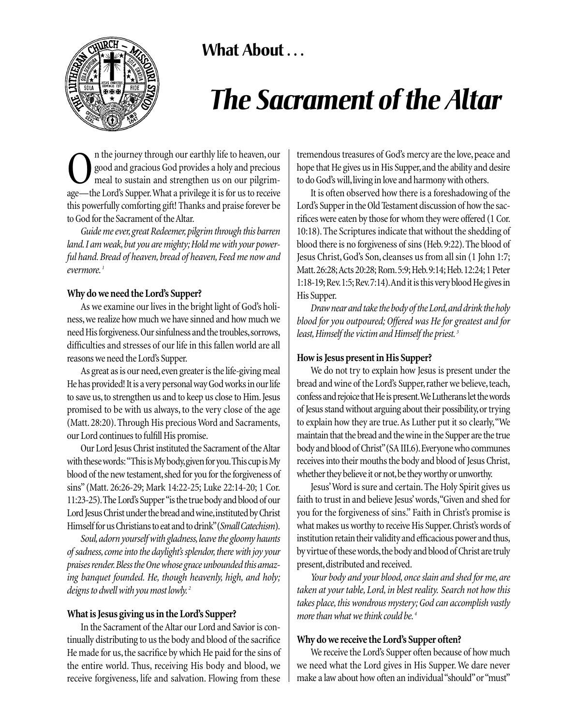

## **What About . . .**

# *The Sacrament of the Altar*

**O**n the journey through our earthly life to heaven, our good and gracious God provides a holy and precious meal to sustain and strengthen us on our pilgrim-<br>age—the Lord's Supper What a privilege it is for us to receive good and gracious God provides a holy and precious meal to sustain and strengthen us on our pilgrimage—the Lord's Supper.What a privilege it is for us to receive this powerfully comforting gift! Thanks and praise forever be to God for the Sacrament of the Altar.

*Guide me ever,great Redeemer,pilgrim through this barren land.I am weak,but you are mighty; Hold me with your powerful hand. Bread of heaven, bread of heaven, Feed me now and evermore. <sup>1</sup>*

#### **Why do we need the Lord's Supper?**

As we examine our lives in the bright light of God's holiness,we realize how much we have sinned and how much we need His forgiveness.Our sinfulness and the troubles,sorrows, difficulties and stresses of our life in this fallen world are all reasons we need the Lord's Supper.

As great as is our need, even greater is the life-giving meal He has provided! It is a very personal way God works in our life to save us, to strengthen us and to keep us close to Him. Jesus promised to be with us always, to the very close of the age (Matt. 28:20). Through His precious Word and Sacraments, our Lord continues to fulfill His promise.

Our Lord Jesus Christ instituted the Sacrament of the Altar with these words:"This is My body,given for you.This cup is My blood of the new testament, shed for you for the forgiveness of sins" (Matt. 26:26-29; Mark 14:22-25; Luke 22:14-20; 1 Cor. 11:23-25).The Lord's Supper "is the true body and blood of our Lord Jesus Christ under the bread and wine, instituted by Christ Himself for us Christians to eat and to drink"(*Small Catechism*).

*Soul,adorn yourself with gladness,leave the gloomy haunts of sadness, come into the daylight's splendor, there with joy your praises render.Bless the One whose grace unbounded this amazing banquet founded. He, though heavenly, high, and holy; deigns to dwell with you most lowly. <sup>2</sup>*

#### **What is Jesus giving us in the Lord's Supper?**

In the Sacrament of the Altar our Lord and Savior is continually distributing to us the body and blood of the sacrifice He made for us, the sacrifice by which He paid for the sins of the entire world. Thus, receiving His body and blood, we receive forgiveness, life and salvation. Flowing from these

tremendous treasures of God's mercy are the love, peace and hope that He gives us in His Supper, and the ability and desire to do God's will, living in love and harmony with others.

It is often observed how there is a foreshadowing of the Lord's Supper in the Old Testament discussion of how the sacrifices were eaten by those for whom they were offered (1 Cor. 10:18). The Scriptures indicate that without the shedding of blood there is no forgiveness of sins (Heb.9:22).The blood of Jesus Christ, God's Son, cleanses us from all sin (1 John 1:7; Matt.26:28;Acts 20:28; Rom.5:9; Heb.9:14; Heb.12:24; 1 Peter 1:18-19;Rev.1:5;Rev.7:14).And it is this very blood He gives in His Supper.

*Draw near and take the body of the Lord,and drink the holy blood for you outpoured; Offered was He for greatest and for least,Himself the victim and Himself the priest. <sup>3</sup>*

#### **How is Jesus present in His Supper?**

We do not try to explain how Jesus is present under the bread and wine of the Lord's Supper, rather we believe, teach, confess and rejoice that He is present.We Lutherans let the words of Jesus stand without arguing about their possibility,or trying to explain how they are true.As Luther put it so clearly,"We maintain that the bread and the wine in the Supper are the true body and blood of Christ"(SA III.6).Everyone who communes receives into their mouths the body and blood of Jesus Christ, whether they believe it or not, be they worthy or unworthy.

Jesus'Word is sure and certain. The Holy Spirit gives us faith to trust in and believe Jesus' words,"Given and shed for you for the forgiveness of sins." Faith in Christ's promise is what makes us worthy to receive His Supper.Christ's words of institution retain their validity and efficacious power and thus, by virtue of these words, the body and blood of Christ are truly present, distributed and received.

*Your body and your blood, once slain and shed for me, are taken at your table, Lord, in blest reality. Search not how this takes place, this wondrous mystery; God can accomplish vastly more than what we think could be. <sup>4</sup>*

### **Why do we receive the Lord's Supper often?**

We receive the Lord's Supper often because of how much we need what the Lord gives in His Supper. We dare never make a law about how often an individual "should" or "must"